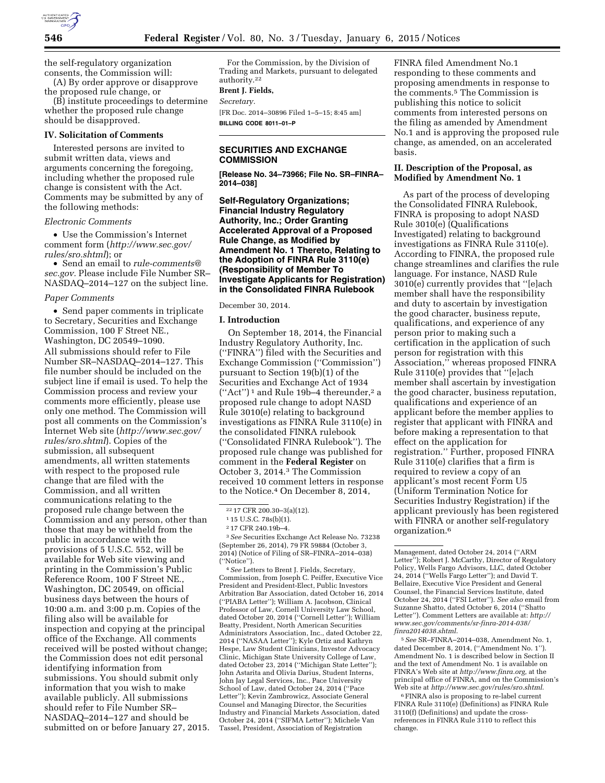

the self-regulatory organization consents, the Commission will:

(A) By order approve or disapprove the proposed rule change, or

(B) institute proceedings to determine whether the proposed rule change should be disapproved.

### **IV. Solicitation of Comments**

Interested persons are invited to submit written data, views and arguments concerning the foregoing, including whether the proposed rule change is consistent with the Act. Comments may be submitted by any of the following methods:

# *Electronic Comments*

• Use the Commission's Internet comment form (*[http://www.sec.gov/](http://www.sec.gov/rules/sro.shtml) [rules/sro.shtml](http://www.sec.gov/rules/sro.shtml)*); or

• Send an email to *[rule-comments@](mailto:rule-comments@sec.gov) [sec.gov.](mailto:rule-comments@sec.gov)* Please include File Number SR– NASDAQ–2014–127 on the subject line.

### *Paper Comments*

• Send paper comments in triplicate to Secretary, Securities and Exchange Commission, 100 F Street NE., Washington, DC 20549–1090. All submissions should refer to File Number SR–NASDAQ–2014–127. This file number should be included on the subject line if email is used. To help the Commission process and review your comments more efficiently, please use only one method. The Commission will post all comments on the Commission's Internet Web site (*[http://www.sec.gov/](http://www.sec.gov/rules/sro.shtml) [rules/sro.shtml](http://www.sec.gov/rules/sro.shtml)*). Copies of the submission, all subsequent amendments, all written statements with respect to the proposed rule change that are filed with the Commission, and all written communications relating to the proposed rule change between the Commission and any person, other than those that may be withheld from the public in accordance with the provisions of 5 U.S.C. 552, will be available for Web site viewing and printing in the Commission's Public Reference Room, 100 F Street NE., Washington, DC 20549, on official business days between the hours of 10:00 a.m. and 3:00 p.m. Copies of the filing also will be available for inspection and copying at the principal office of the Exchange. All comments received will be posted without change; the Commission does not edit personal identifying information from submissions. You should submit only information that you wish to make available publicly. All submissions should refer to File Number SR– NASDAQ–2014–127 and should be submitted on or before January 27, 2015.

For the Commission, by the Division of Trading and Markets, pursuant to delegated authority.22

#### **Brent J. Fields,**

*Secretary.* 

[FR Doc. 2014–30896 Filed 1–5–15; 8:45 am] **BILLING CODE 8011–01–P** 

### **SECURITIES AND EXCHANGE COMMISSION**

**[Release No. 34–73966; File No. SR–FINRA– 2014–038]** 

**Self-Regulatory Organizations; Financial Industry Regulatory Authority, Inc.; Order Granting Accelerated Approval of a Proposed Rule Change, as Modified by Amendment No. 1 Thereto, Relating to the Adoption of FINRA Rule 3110(e) (Responsibility of Member To Investigate Applicants for Registration) in the Consolidated FINRA Rulebook** 

### December 30, 2014.

#### **I. Introduction**

On September 18, 2014, the Financial Industry Regulatory Authority, Inc. (''FINRA'') filed with the Securities and Exchange Commission (''Commission'') pursuant to Section 19(b)(1) of the Securities and Exchange Act of 1934  $("Act")^1$  and Rule 19b-4 thereunder,<sup>2</sup> a proposed rule change to adopt NASD Rule 3010(e) relating to background investigations as FINRA Rule 3110(e) in the consolidated FINRA rulebook (''Consolidated FINRA Rulebook''). The proposed rule change was published for comment in the **Federal Register** on October 3, 2014.3 The Commission received 10 comment letters in response to the Notice.4 On December 8, 2014,

3*See* Securities Exchange Act Release No. 73238 (September 26, 2014), 79 FR 59884 (October 3, 2014) (Notice of Filing of SR–FINRA–2014–038) (''Notice'').

4*See* Letters to Brent J. Fields, Secretary, Commission, from Joseph C. Peiffer, Executive Vice President and President-Elect, Public Investors Arbitration Bar Association, dated October 16, 2014 (''PIABA Letter''); William A. Jacobson, Clinical Professor of Law, Cornell University Law School, dated October 20, 2014 (''Cornell Letter''); William Beatty, President, North American Securities Administrators Association, Inc., dated October 22, 2014 (''NASAA Letter''); Kyle Ortiz and Kathryn Hespe, Law Student Clinicians, Investor Advocacy Clinic, Michigan State University College of Law, dated October 23, 2014 (''Michigan State Letter''); John Astarita and Olivia Darius, Student Interns, John Jay Legal Services, Inc., Pace University School of Law, dated October 24, 2014 (''Pace Letter''); Kevin Zambrowicz, Associate General Counsel and Managing Director, the Securities Industry and Financial Markets Association, dated October 24, 2014 (''SIFMA Letter''); Michele Van Tassel, President, Association of Registration

FINRA filed Amendment No.1 responding to these comments and proposing amendments in response to the comments.5 The Commission is publishing this notice to solicit comments from interested persons on the filing as amended by Amendment No.1 and is approving the proposed rule change, as amended, on an accelerated basis.

# **II. Description of the Proposal, as Modified by Amendment No. 1**

As part of the process of developing the Consolidated FINRA Rulebook, FINRA is proposing to adopt NASD Rule 3010(e) (Qualifications Investigated) relating to background investigations as FINRA Rule 3110(e). According to FINRA, the proposed rule change streamlines and clarifies the rule language. For instance, NASD Rule 3010(e) currently provides that ''[e]ach member shall have the responsibility and duty to ascertain by investigation the good character, business repute, qualifications, and experience of any person prior to making such a certification in the application of such person for registration with this Association,'' whereas proposed FINRA Rule 3110(e) provides that ''[e]ach member shall ascertain by investigation the good character, business reputation, qualifications and experience of an applicant before the member applies to register that applicant with FINRA and before making a representation to that effect on the application for registration.'' Further, proposed FINRA Rule 3110(e) clarifies that a firm is required to review a copy of an applicant's most recent Form U5 (Uniform Termination Notice for Securities Industry Registration) if the applicant previously has been registered with FINRA or another self-regulatory organization.6

5*See* SR–FINRA–2014–038, Amendment No. 1, dated December 8, 2014, (''Amendment No. 1''). Amendment No. 1 is described below in Section II and the text of Amendment No. 1 is available on FINRA's Web site at *[http://www.finra.org,](http://www.finra.org)* at the principal office of FINRA, and on the Commission's Web site at *<http://www.sec.gov/rules/sro.shtml>*.

6FINRA also is proposing to re-label current FINRA Rule 3110(e) (Definitions) as FINRA Rule 3110(f) (Definitions) and update the crossreferences in FINRA Rule 3110 to reflect this change.

<sup>22</sup> 17 CFR 200.30–3(a)(12).

<sup>1</sup> 15 U.S.C. 78s(b)(1).

<sup>2</sup> 17 CFR 240.19b–4.

Management, dated October 24, 2014 (''ARM Letter''); Robert J. McCarthy, Director of Regulatory Policy, Wells Fargo Advisors, LLC, dated October 24, 2014 (''Wells Fargo Letter''); and David T. Bellaire, Executive Vice President and General Counsel, the Financial Services Institute, dated October 24, 2014 (''FSI Letter''). *See also* email from Suzanne Shatto, dated October 6, 2014 (''Shatto Letter''). Comment Letters are available at: *[http://](http://www.sec.gov/comments/sr-finra-2014-038/finra2014038.shtml) [www.sec.gov/comments/sr-finra-2014-038/](http://www.sec.gov/comments/sr-finra-2014-038/finra2014038.shtml) [finra2014038.shtml](http://www.sec.gov/comments/sr-finra-2014-038/finra2014038.shtml)*.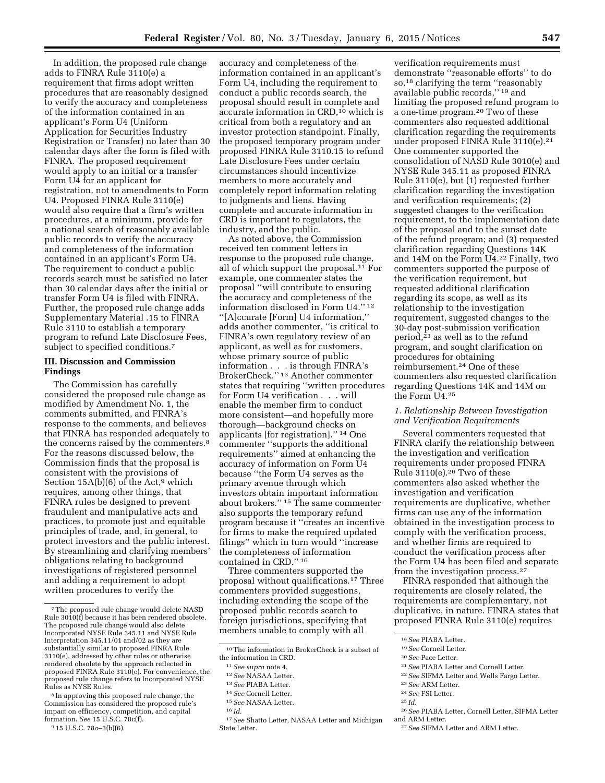In addition, the proposed rule change adds to FINRA Rule 3110(e) a requirement that firms adopt written procedures that are reasonably designed to verify the accuracy and completeness of the information contained in an applicant's Form U4 (Uniform Application for Securities Industry Registration or Transfer) no later than 30 calendar days after the form is filed with FINRA. The proposed requirement would apply to an initial or a transfer Form U4 for an applicant for registration, not to amendments to Form U4. Proposed FINRA Rule 3110(e) would also require that a firm's written procedures, at a minimum, provide for a national search of reasonably available public records to verify the accuracy and completeness of the information contained in an applicant's Form U4. The requirement to conduct a public records search must be satisfied no later than 30 calendar days after the initial or transfer Form U4 is filed with FINRA. Further, the proposed rule change adds Supplementary Material .15 to FINRA Rule 3110 to establish a temporary program to refund Late Disclosure Fees, subject to specified conditions.<sup>7</sup>

# **III. Discussion and Commission Findings**

The Commission has carefully considered the proposed rule change as modified by Amendment No. 1, the comments submitted, and FINRA's response to the comments, and believes that FINRA has responded adequately to the concerns raised by the commenters.<sup>8</sup> For the reasons discussed below, the Commission finds that the proposal is consistent with the provisions of Section  $15A(b)(6)$  of the Act,<sup>9</sup> which requires, among other things, that FINRA rules be designed to prevent fraudulent and manipulative acts and practices, to promote just and equitable principles of trade, and, in general, to protect investors and the public interest. By streamlining and clarifying members' obligations relating to background investigations of registered personnel and adding a requirement to adopt written procedures to verify the

accuracy and completeness of the information contained in an applicant's Form U4, including the requirement to conduct a public records search, the proposal should result in complete and accurate information in CRD,10 which is critical from both a regulatory and an investor protection standpoint. Finally, the proposed temporary program under proposed FINRA Rule 3110.15 to refund Late Disclosure Fees under certain circumstances should incentivize members to more accurately and completely report information relating to judgments and liens. Having complete and accurate information in CRD is important to regulators, the industry, and the public.

As noted above, the Commission received ten comment letters in response to the proposed rule change, all of which support the proposal.11 For example, one commenter states the proposal ''will contribute to ensuring the accuracy and completeness of the information disclosed in Form U4.'' 12 ''[A]ccurate [Form] U4 information,'' adds another commenter, ''is critical to FINRA's own regulatory review of an applicant, as well as for customers, whose primary source of public information . . . is through FINRA's BrokerCheck.'' 13 Another commenter states that requiring ''written procedures for Form U4 verification . . . will enable the member firm to conduct more consistent—and hopefully more thorough—background checks on applicants [for registration].'' 14 One commenter ''supports the additional requirements'' aimed at enhancing the accuracy of information on Form U4 because ''the Form U4 serves as the primary avenue through which investors obtain important information about brokers.'' 15 The same commenter also supports the temporary refund program because it ''creates an incentive for firms to make the required updated filings'' which in turn would ''increase the completeness of information contained in CRD.'' 16

Three commenters supported the proposal without qualifications.17 Three commenters provided suggestions, including extending the scope of the proposed public records search to foreign jurisdictions, specifying that members unable to comply with all

verification requirements must demonstrate ''reasonable efforts'' to do so,18 clarifying the term ''reasonably available public records,'' 19 and limiting the proposed refund program to a one-time program.20 Two of these commenters also requested additional clarification regarding the requirements under proposed FINRA Rule 3110(e).21 One commenter supported the consolidation of NASD Rule 3010(e) and NYSE Rule 345.11 as proposed FINRA Rule 3110(e), but (1) requested further clarification regarding the investigation and verification requirements; (2) suggested changes to the verification requirement, to the implementation date of the proposal and to the sunset date of the refund program; and (3) requested clarification regarding Questions 14K and 14M on the Form U4.22 Finally, two commenters supported the purpose of the verification requirement, but requested additional clarification regarding its scope, as well as its relationship to the investigation requirement, suggested changes to the 30-day post-submission verification period,23 as well as to the refund program, and sought clarification on procedures for obtaining reimbursement.24 One of these commenters also requested clarification regarding Questions 14K and 14M on the Form U4.25

# *1. Relationship Between Investigation and Verification Requirements*

Several commenters requested that FINRA clarify the relationship between the investigation and verification requirements under proposed FINRA Rule 3110(e).26 Two of these commenters also asked whether the investigation and verification requirements are duplicative, whether firms can use any of the information obtained in the investigation process to comply with the verification process, and whether firms are required to conduct the verification process after the Form U4 has been filed and separate from the investigation process.27

FINRA responded that although the requirements are closely related, the requirements are complementary, not duplicative, in nature. FINRA states that proposed FINRA Rule 3110(e) requires

21*See* PIABA Letter and Cornell Letter.

27*See* SIFMA Letter and ARM Letter.

<sup>7</sup>The proposed rule change would delete NASD Rule 3010(f) because it has been rendered obsolete. The proposed rule change would also delete Incorporated NYSE Rule 345.11 and NYSE Rule Interpretation 345.11/01 and/02 as they are substantially similar to proposed FINRA Rule 3110(e), addressed by other rules or otherwise rendered obsolete by the approach reflected in proposed FINRA Rule 3110(e). For convenience, the proposed rule change refers to Incorporated NYSE Rules as NYSE Rules.

<sup>8</sup> In approving this proposed rule change, the Commission has considered the proposed rule's impact on efficiency, competition, and capital formation. *See* 15 U.S.C. 78c(f).

<sup>9</sup> 15 U.S.C. 78*o*–3(b)(6).

<sup>10</sup>The information in BrokerCheck is a subset of the information in CRD.

<sup>11</sup>*See supra* note 4.

<sup>12</sup>*See* NASAA Letter.

<sup>13</sup>*See* PIABA Letter.

<sup>14</sup>*See* Cornell Letter.

<sup>15</sup>*See* NASAA Letter.

<sup>16</sup> *Id.* 

<sup>17</sup>*See* Shatto Letter, NASAA Letter and Michigan State Letter.

<sup>18</sup>*See* PIABA Letter.

<sup>19</sup>*See* Cornell Letter.

<sup>20</sup>*See* Pace Letter.

<sup>22</sup>*See* SIFMA Letter and Wells Fargo Letter.

<sup>23</sup>*See* ARM Letter.

<sup>24</sup>*See* FSI Letter.

<sup>25</sup> *Id.* 

<sup>26</sup>*See* PIABA Letter, Cornell Letter, SIFMA Letter and ARM Letter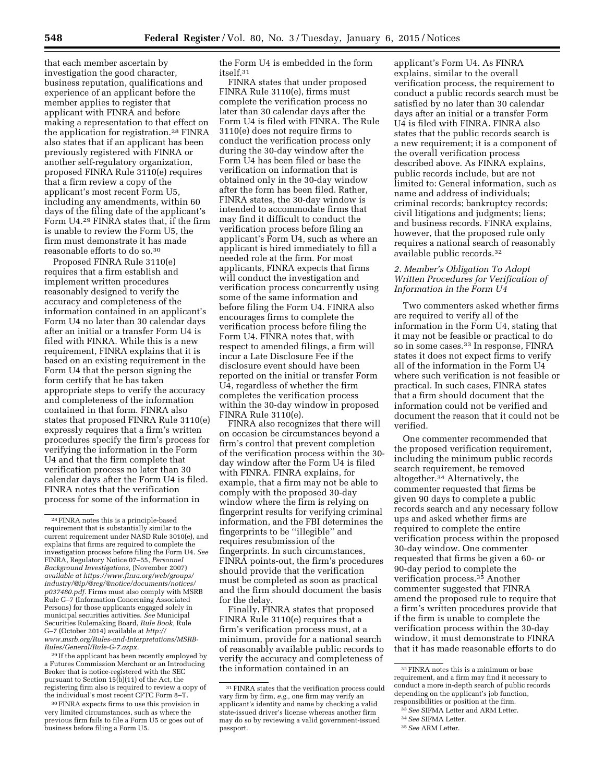that each member ascertain by investigation the good character, business reputation, qualifications and experience of an applicant before the member applies to register that applicant with FINRA and before making a representation to that effect on the application for registration.28 FINRA also states that if an applicant has been previously registered with FINRA or another self-regulatory organization, proposed FINRA Rule 3110(e) requires that a firm review a copy of the applicant's most recent Form U5, including any amendments, within 60 days of the filing date of the applicant's Form U4.29 FINRA states that, if the firm is unable to review the Form U5, the firm must demonstrate it has made reasonable efforts to do so.30

Proposed FINRA Rule 3110(e) requires that a firm establish and implement written procedures reasonably designed to verify the accuracy and completeness of the information contained in an applicant's Form U4 no later than 30 calendar days after an initial or a transfer Form U4 is filed with FINRA. While this is a new requirement, FINRA explains that it is based on an existing requirement in the Form U4 that the person signing the form certify that he has taken appropriate steps to verify the accuracy and completeness of the information contained in that form. FINRA also states that proposed FINRA Rule 3110(e) expressly requires that a firm's written procedures specify the firm's process for verifying the information in the Form U4 and that the firm complete that verification process no later than 30 calendar days after the Form U4 is filed. FINRA notes that the verification process for some of the information in

29 If the applicant has been recently employed by a Futures Commission Merchant or an Introducing Broker that is notice-registered with the SEC pursuant to Section 15(b)(11) of the Act, the registering firm also is required to review a copy of the individual's most recent CFTC Form 8–T.

30FINRA expects firms to use this provision in very limited circumstances, such as where the previous firm fails to file a Form U5 or goes out of business before filing a Form U5.

the Form U4 is embedded in the form itself.31

FINRA states that under proposed FINRA Rule 3110(e), firms must complete the verification process no later than 30 calendar days after the Form U4 is filed with FINRA. The Rule 3110(e) does not require firms to conduct the verification process only during the 30-day window after the Form U4 has been filed or base the verification on information that is obtained only in the 30-day window after the form has been filed. Rather, FINRA states, the 30-day window is intended to accommodate firms that may find it difficult to conduct the verification process before filing an applicant's Form U4, such as where an applicant is hired immediately to fill a needed role at the firm. For most applicants, FINRA expects that firms will conduct the investigation and verification process concurrently using some of the same information and before filing the Form U4. FINRA also encourages firms to complete the verification process before filing the Form U4. FINRA notes that, with respect to amended filings, a firm will incur a Late Disclosure Fee if the disclosure event should have been reported on the initial or transfer Form U4, regardless of whether the firm completes the verification process within the 30-day window in proposed FINRA Rule 3110(e).

FINRA also recognizes that there will on occasion be circumstances beyond a firm's control that prevent completion of the verification process within the 30 day window after the Form U4 is filed with FINRA. FINRA explains, for example, that a firm may not be able to comply with the proposed 30-day window where the firm is relying on fingerprint results for verifying criminal information, and the FBI determines the fingerprints to be ''illegible'' and requires resubmission of the fingerprints. In such circumstances, FINRA points-out, the firm's procedures should provide that the verification must be completed as soon as practical and the firm should document the basis for the delay.

Finally, FINRA states that proposed FINRA Rule 3110(e) requires that a firm's verification process must, at a minimum, provide for a national search of reasonably available public records to verify the accuracy and completeness of the information contained in an

applicant's Form U4. As FINRA explains, similar to the overall verification process, the requirement to conduct a public records search must be satisfied by no later than 30 calendar days after an initial or a transfer Form U4 is filed with FINRA. FINRA also states that the public records search is a new requirement; it is a component of the overall verification process described above. As FINRA explains, public records include, but are not limited to: General information, such as name and address of individuals; criminal records; bankruptcy records; civil litigations and judgments; liens; and business records. FINRA explains, however, that the proposed rule only requires a national search of reasonably available public records.32

# *2. Member's Obligation To Adopt Written Procedures for Verification of Information in the Form U4*

Two commenters asked whether firms are required to verify all of the information in the Form U4, stating that it may not be feasible or practical to do so in some cases.33 In response, FINRA states it does not expect firms to verify all of the information in the Form U4 where such verification is not feasible or practical. In such cases, FINRA states that a firm should document that the information could not be verified and document the reason that it could not be verified.

One commenter recommended that the proposed verification requirement, including the minimum public records search requirement, be removed altogether.34 Alternatively, the commenter requested that firms be given 90 days to complete a public records search and any necessary follow ups and asked whether firms are required to complete the entire verification process within the proposed 30-day window. One commenter requested that firms be given a 60- or 90-day period to complete the verification process.35 Another commenter suggested that FINRA amend the proposed rule to require that a firm's written procedures provide that if the firm is unable to complete the verification process within the 30-day window, it must demonstrate to FINRA that it has made reasonable efforts to do

<sup>28</sup>FINRA notes this is a principle-based requirement that is substantially similar to the current requirement under NASD Rule 3010(e), and explains that firms are required to complete the investigation process before filing the Form U4. *See*  FINRA, Regulatory Notice 07–55, *Personnel Background Investigations,* (November 2007) *available a[t https://www.finra.org/web/groups/](https://www.finra.org/web/groups/industry/@ip/@reg/@notice/documents/notices/p037480.pdf) [industry/@ip/@reg/@notice/documents/notices/](https://www.finra.org/web/groups/industry/@ip/@reg/@notice/documents/notices/p037480.pdf) [p037480.pdf.](https://www.finra.org/web/groups/industry/@ip/@reg/@notice/documents/notices/p037480.pdf)* Firms must also comply with MSRB Rule G–7 (Information Concerning Associated Persons) for those applicants engaged solely in municipal securities activities. *See* Municipal Securities Rulemaking Board, *Rule Book,* Rule G–7 (October 2014) available at *[http://](http://www.msrb.org/Rules-and-Interpretations/MSRB-Rules/General/Rule-G-7.aspx) [www.msrb.org/Rules-and-Interpretations/MSRB-](http://www.msrb.org/Rules-and-Interpretations/MSRB-Rules/General/Rule-G-7.aspx)[Rules/General/Rule-G-7.aspx.](http://www.msrb.org/Rules-and-Interpretations/MSRB-Rules/General/Rule-G-7.aspx)* 

<sup>&</sup>lt;sup>31</sup> FINRA states that the verification process could vary firm by firm, *e.g.,* one firm may verify an applicant's identity and name by checking a valid state-issued driver's license whereas another firm may do so by reviewing a valid government-issued passport.

<sup>32</sup>FINRA notes this is a minimum or base requirement, and a firm may find it necessary to conduct a more in-depth search of public records depending on the applicant's job function, responsibilities or position at the firm.

<sup>33</sup>*See* SIFMA Letter and ARM Letter.

<sup>34</sup>*See* SIFMA Letter.

<sup>35</sup>*See* ARM Letter.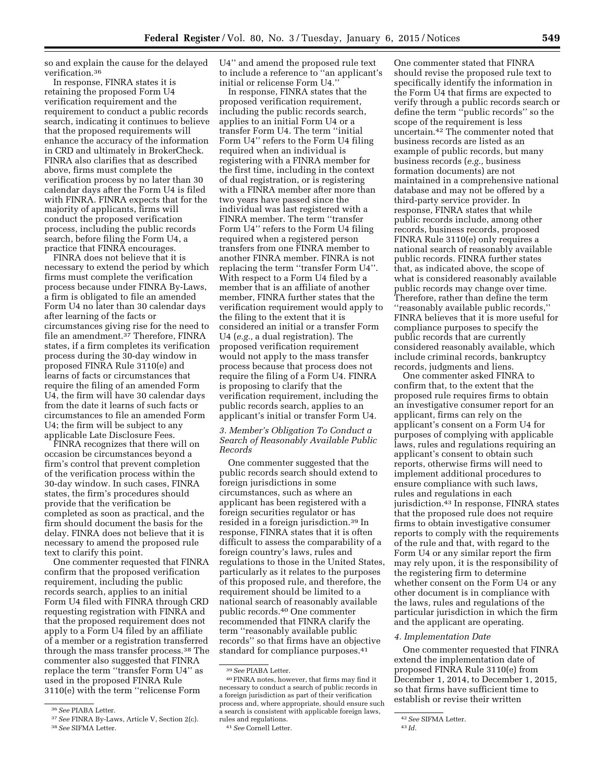so and explain the cause for the delayed verification.36

In response, FINRA states it is retaining the proposed Form U4 verification requirement and the requirement to conduct a public records search, indicating it continues to believe that the proposed requirements will enhance the accuracy of the information in CRD and ultimately in BrokerCheck. FINRA also clarifies that as described above, firms must complete the verification process by no later than 30 calendar days after the Form U4 is filed with FINRA. FINRA expects that for the majority of applicants, firms will conduct the proposed verification process, including the public records search, before filing the Form U4, a practice that FINRA encourages.

FINRA does not believe that it is necessary to extend the period by which firms must complete the verification process because under FINRA By-Laws, a firm is obligated to file an amended Form U4 no later than 30 calendar days after learning of the facts or circumstances giving rise for the need to file an amendment.37 Therefore, FINRA states, if a firm completes its verification process during the 30-day window in proposed FINRA Rule 3110(e) and learns of facts or circumstances that require the filing of an amended Form U4, the firm will have 30 calendar days from the date it learns of such facts or circumstances to file an amended Form U4; the firm will be subject to any applicable Late Disclosure Fees.

FINRA recognizes that there will on occasion be circumstances beyond a firm's control that prevent completion of the verification process within the 30-day window. In such cases, FINRA states, the firm's procedures should provide that the verification be completed as soon as practical, and the firm should document the basis for the delay. FINRA does not believe that it is necessary to amend the proposed rule text to clarify this point.

One commenter requested that FINRA confirm that the proposed verification requirement, including the public records search, applies to an initial Form U4 filed with FINRA through CRD requesting registration with FINRA and that the proposed requirement does not apply to a Form U4 filed by an affiliate of a member or a registration transferred through the mass transfer process.38 The commenter also suggested that FINRA replace the term ''transfer Form U4'' as used in the proposed FINRA Rule 3110(e) with the term ''relicense Form

U4'' and amend the proposed rule text to include a reference to ''an applicant's initial or relicense Form U4.''

In response, FINRA states that the proposed verification requirement, including the public records search, applies to an initial Form U4 or a transfer Form U4. The term ''initial Form U4'' refers to the Form U4 filing required when an individual is registering with a FINRA member for the first time, including in the context of dual registration, or is registering with a FINRA member after more than two years have passed since the individual was last registered with a FINRA member. The term ''transfer Form U4'' refers to the Form U4 filing required when a registered person transfers from one FINRA member to another FINRA member. FINRA is not replacing the term ''transfer Form U4''. With respect to a Form U4 filed by a member that is an affiliate of another member, FINRA further states that the verification requirement would apply to the filing to the extent that it is considered an initial or a transfer Form U4 (*e.g.,* a dual registration). The proposed verification requirement would not apply to the mass transfer process because that process does not require the filing of a Form U4. FINRA is proposing to clarify that the verification requirement, including the public records search, applies to an applicant's initial or transfer Form U4.

# *3. Member's Obligation To Conduct a Search of Reasonably Available Public Records*

One commenter suggested that the public records search should extend to foreign jurisdictions in some circumstances, such as where an applicant has been registered with a foreign securities regulator or has resided in a foreign jurisdiction.39 In response, FINRA states that it is often difficult to assess the comparability of a foreign country's laws, rules and regulations to those in the United States, particularly as it relates to the purposes of this proposed rule, and therefore, the requirement should be limited to a national search of reasonably available public records.40 One commenter recommended that FINRA clarify the term ''reasonably available public records'' so that firms have an objective standard for compliance purposes.41

41*See* Cornell Letter.

One commenter stated that FINRA should revise the proposed rule text to specifically identify the information in the Form U4 that firms are expected to verify through a public records search or define the term ''public records'' so the scope of the requirement is less uncertain.42 The commenter noted that business records are listed as an example of public records, but many business records (*e.g.,* business formation documents) are not maintained in a comprehensive national database and may not be offered by a third-party service provider. In response, FINRA states that while public records include, among other records, business records, proposed FINRA Rule 3110(e) only requires a national search of reasonably available public records. FINRA further states that, as indicated above, the scope of what is considered reasonably available public records may change over time. Therefore, rather than define the term ''reasonably available public records,'' FINRA believes that it is more useful for compliance purposes to specify the public records that are currently considered reasonably available, which include criminal records, bankruptcy records, judgments and liens.

One commenter asked FINRA to confirm that, to the extent that the proposed rule requires firms to obtain an investigative consumer report for an applicant, firms can rely on the applicant's consent on a Form U4 for purposes of complying with applicable laws, rules and regulations requiring an applicant's consent to obtain such reports, otherwise firms will need to implement additional procedures to ensure compliance with such laws, rules and regulations in each jurisdiction.43 In response, FINRA states that the proposed rule does not require firms to obtain investigative consumer reports to comply with the requirements of the rule and that, with regard to the Form U4 or any similar report the firm may rely upon, it is the responsibility of the registering firm to determine whether consent on the Form U4 or any other document is in compliance with the laws, rules and regulations of the particular jurisdiction in which the firm and the applicant are operating.

### *4. Implementation Date*

One commenter requested that FINRA extend the implementation date of proposed FINRA Rule 3110(e) from December 1, 2014, to December 1, 2015, so that firms have sufficient time to establish or revise their written

<sup>36</sup>*See* PIABA Letter.

<sup>37</sup>*See* FINRA By-Laws, Article V, Section 2(c). 38*See* SIFMA Letter.

<sup>39</sup>*See* PIABA Letter.

<sup>40</sup>FINRA notes, however, that firms may find it necessary to conduct a search of public records in a foreign jurisdiction as part of their verification process and, where appropriate, should ensure such a search is consistent with applicable foreign laws, rules and regulations.

<sup>42</sup>*See* SIFMA Letter.

<sup>43</sup> *Id.*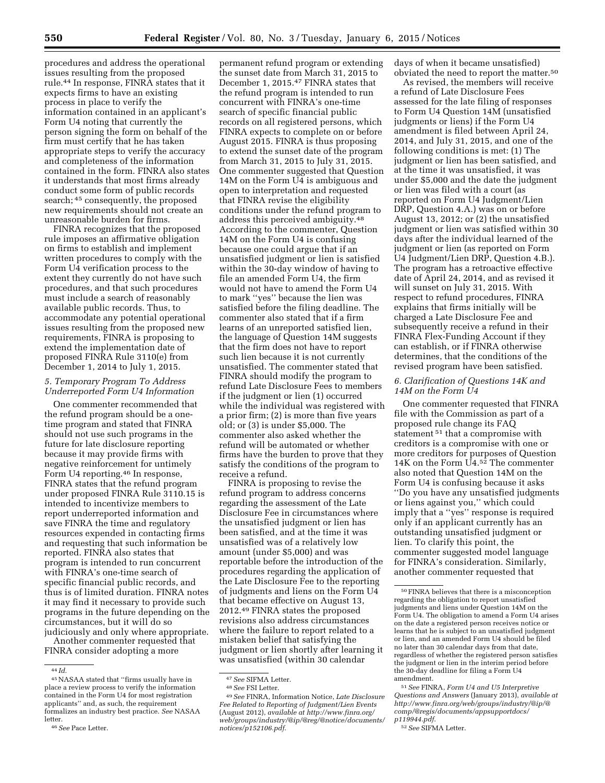procedures and address the operational issues resulting from the proposed rule.44 In response, FINRA states that it expects firms to have an existing process in place to verify the information contained in an applicant's Form U4 noting that currently the person signing the form on behalf of the firm must certify that he has taken appropriate steps to verify the accuracy and completeness of the information contained in the form. FINRA also states it understands that most firms already conduct some form of public records search; 45 consequently, the proposed new requirements should not create an unreasonable burden for firms.

FINRA recognizes that the proposed rule imposes an affirmative obligation on firms to establish and implement written procedures to comply with the Form U4 verification process to the extent they currently do not have such procedures, and that such procedures must include a search of reasonably available public records. Thus, to accommodate any potential operational issues resulting from the proposed new requirements, FINRA is proposing to extend the implementation date of proposed FINRA Rule 3110(e) from December 1, 2014 to July 1, 2015.

# *5. Temporary Program To Address Underreported Form U4 Information*

One commenter recommended that the refund program should be a onetime program and stated that FINRA should not use such programs in the future for late disclosure reporting because it may provide firms with negative reinforcement for untimely Form U4 reporting.46 In response, FINRA states that the refund program under proposed FINRA Rule 3110.15 is intended to incentivize members to report underreported information and save FINRA the time and regulatory resources expended in contacting firms and requesting that such information be reported. FINRA also states that program is intended to run concurrent with FINRA's one-time search of specific financial public records, and thus is of limited duration. FINRA notes it may find it necessary to provide such programs in the future depending on the circumstances, but it will do so judiciously and only where appropriate.

Another commenter requested that FINRA consider adopting a more

permanent refund program or extending the sunset date from March 31, 2015 to December 1, 2015.47 FINRA states that the refund program is intended to run concurrent with FINRA's one-time search of specific financial public records on all registered persons, which FINRA expects to complete on or before August 2015. FINRA is thus proposing to extend the sunset date of the program from March 31, 2015 to July 31, 2015. One commenter suggested that Question 14M on the Form U4 is ambiguous and open to interpretation and requested that FINRA revise the eligibility conditions under the refund program to address this perceived ambiguity.48 According to the commenter, Question 14M on the Form U4 is confusing because one could argue that if an unsatisfied judgment or lien is satisfied within the 30-day window of having to file an amended Form U4, the firm would not have to amend the Form U4 to mark ''yes'' because the lien was satisfied before the filing deadline. The commenter also stated that if a firm learns of an unreported satisfied lien, the language of Question 14M suggests that the firm does not have to report such lien because it is not currently unsatisfied. The commenter stated that FINRA should modify the program to refund Late Disclosure Fees to members if the judgment or lien (1) occurred while the individual was registered with a prior firm; (2) is more than five years old; or (3) is under \$5,000. The commenter also asked whether the refund will be automated or whether firms have the burden to prove that they satisfy the conditions of the program to receive a refund.

FINRA is proposing to revise the refund program to address concerns regarding the assessment of the Late Disclosure Fee in circumstances where the unsatisfied judgment or lien has been satisfied, and at the time it was unsatisfied was of a relatively low amount (under \$5,000) and was reportable before the introduction of the procedures regarding the application of the Late Disclosure Fee to the reporting of judgments and liens on the Form U4 that became effective on August 13, 2012.49 FINRA states the proposed revisions also address circumstances where the failure to report related to a mistaken belief that satisfying the judgment or lien shortly after learning it was unsatisfied (within 30 calendar

days of when it became unsatisfied) obviated the need to report the matter.50

As revised, the members will receive a refund of Late Disclosure Fees assessed for the late filing of responses to Form U4 Question 14M (unsatisfied judgments or liens) if the Form U4 amendment is filed between April 24, 2014, and July 31, 2015, and one of the following conditions is met: (1) The judgment or lien has been satisfied, and at the time it was unsatisfied, it was under \$5,000 and the date the judgment or lien was filed with a court (as reported on Form U4 Judgment/Lien DRP, Question 4.A.) was on or before August 13, 2012; or (2) the unsatisfied judgment or lien was satisfied within 30 days after the individual learned of the judgment or lien (as reported on Form U4 Judgment/Lien DRP, Question 4.B.). The program has a retroactive effective date of April 24, 2014, and as revised it will sunset on July 31, 2015. With respect to refund procedures, FINRA explains that firms initially will be charged a Late Disclosure Fee and subsequently receive a refund in their FINRA Flex-Funding Account if they can establish, or if FINRA otherwise determines, that the conditions of the revised program have been satisfied.

# *6. Clarification of Questions 14K and 14M on the Form U4*

One commenter requested that FINRA file with the Commission as part of a proposed rule change its FAQ statement 51 that a compromise with creditors is a compromise with one or more creditors for purposes of Question 14K on the Form U<sub>4.52</sub> The commenter also noted that Question 14M on the Form U4 is confusing because it asks ''Do you have any unsatisfied judgments or liens against you,'' which could imply that a ''yes'' response is required only if an applicant currently has an outstanding unsatisfied judgment or lien. To clarify this point, the commenter suggested model language for FINRA's consideration. Similarly, another commenter requested that

52*See* SIFMA Letter.

<sup>44</sup> *Id.* 

<sup>45</sup>NASAA stated that ''firms usually have in place a review process to verify the information contained in the Form U4 for most registration applicants'' and, as such, the requirement formalizes an industry best practice. *See* NASAA letter.

<sup>46</sup>*See* Pace Letter.

<sup>47</sup>*See* SIFMA Letter. 48*See* FSI Letter.

<sup>49</sup>*See* FINRA, Information Notice, *Late Disclosure Fee Related to Reporting of Judgment/Lien Events*  (August 2012), *available at [http://www.finra.org/](http://www.finra.org/web/groups/industry/@ip/@reg/@notice/documents/notices/p152106.pdf) [web/groups/industry/@ip/@reg/@notice/documents/](http://www.finra.org/web/groups/industry/@ip/@reg/@notice/documents/notices/p152106.pdf) [notices/p152106.pdf](http://www.finra.org/web/groups/industry/@ip/@reg/@notice/documents/notices/p152106.pdf)*.

<sup>50</sup>FINRA believes that there is a misconception regarding the obligation to report unsatisfied judgments and liens under Question 14M on the Form U4. The obligation to amend a Form U4 arises on the date a registered person receives notice or learns that he is subject to an unsatisfied judgment or lien, and an amended Form U4 should be filed no later than 30 calendar days from that date, regardless of whether the registered person satisfies the judgment or lien in the interim period before the 30-day deadline for filing a Form U4 amendment.

<sup>51</sup>*See* FINRA, *Form U4 and U5 Interpretive Questions and Answers* (January 2013), *available at [http://www.finra.org/web/groups/industry/@ip/@](http://www.finra.org/web/groups/industry/@ip/@comp/@regis/documents/appsupportdocs/p119944.pdf) [comp/@regis/documents/appsupportdocs/](http://www.finra.org/web/groups/industry/@ip/@comp/@regis/documents/appsupportdocs/p119944.pdf) [p119944.pdf](http://www.finra.org/web/groups/industry/@ip/@comp/@regis/documents/appsupportdocs/p119944.pdf)*.